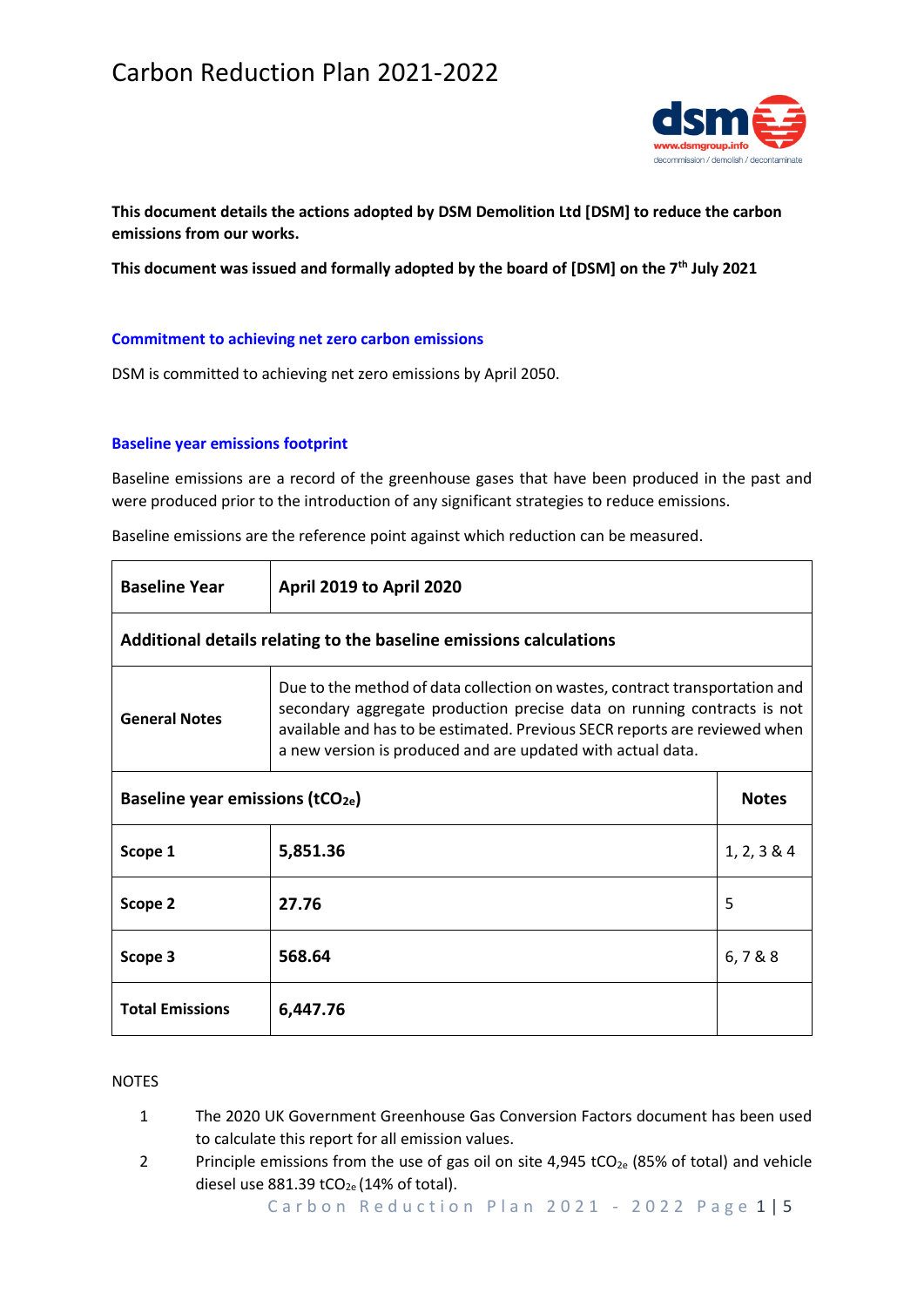# Carbon Reduction Plan 2021-2022



**This document details the actions adopted by DSM Demolition Ltd [DSM] to reduce the carbon emissions from our works.**

**This document was issued and formally adopted by the board of [DSM] on the 7th July 2021**

#### **Commitment to achieving net zero carbon emissions**

DSM is committed to achieving net zero emissions by April 2050.

#### **Baseline year emissions footprint**

Baseline emissions are a record of the greenhouse gases that have been produced in the past and were produced prior to the introduction of any significant strategies to reduce emissions.

| <b>Baseline Year</b>                                               | April 2019 to April 2020                                                                                                                                                                                                                                                                            |              |  |
|--------------------------------------------------------------------|-----------------------------------------------------------------------------------------------------------------------------------------------------------------------------------------------------------------------------------------------------------------------------------------------------|--------------|--|
| Additional details relating to the baseline emissions calculations |                                                                                                                                                                                                                                                                                                     |              |  |
| <b>General Notes</b>                                               | Due to the method of data collection on wastes, contract transportation and<br>secondary aggregate production precise data on running contracts is not<br>available and has to be estimated. Previous SECR reports are reviewed when<br>a new version is produced and are updated with actual data. |              |  |
| Baseline year emissions ( $tCO2e$ )                                |                                                                                                                                                                                                                                                                                                     | <b>Notes</b> |  |
| Scope 1                                                            | 5,851.36                                                                                                                                                                                                                                                                                            | 1, 2, 3 & 4  |  |
| Scope 2                                                            | 27.76                                                                                                                                                                                                                                                                                               | 5            |  |
| Scope 3                                                            | 568.64                                                                                                                                                                                                                                                                                              | 6,788        |  |
| <b>Total Emissions</b>                                             | 6,447.76                                                                                                                                                                                                                                                                                            |              |  |

Baseline emissions are the reference point against which reduction can be measured.

# **NOTES**

- 1 The 2020 UK Government Greenhouse Gas Conversion Factors document has been used to calculate this report for all emission values.
- 2 Principle emissions from the use of gas oil on site  $4,945$  tCO<sub>2e</sub> (85% of total) and vehicle diesel use  $881.39$  tCO<sub>2e</sub> (14% of total).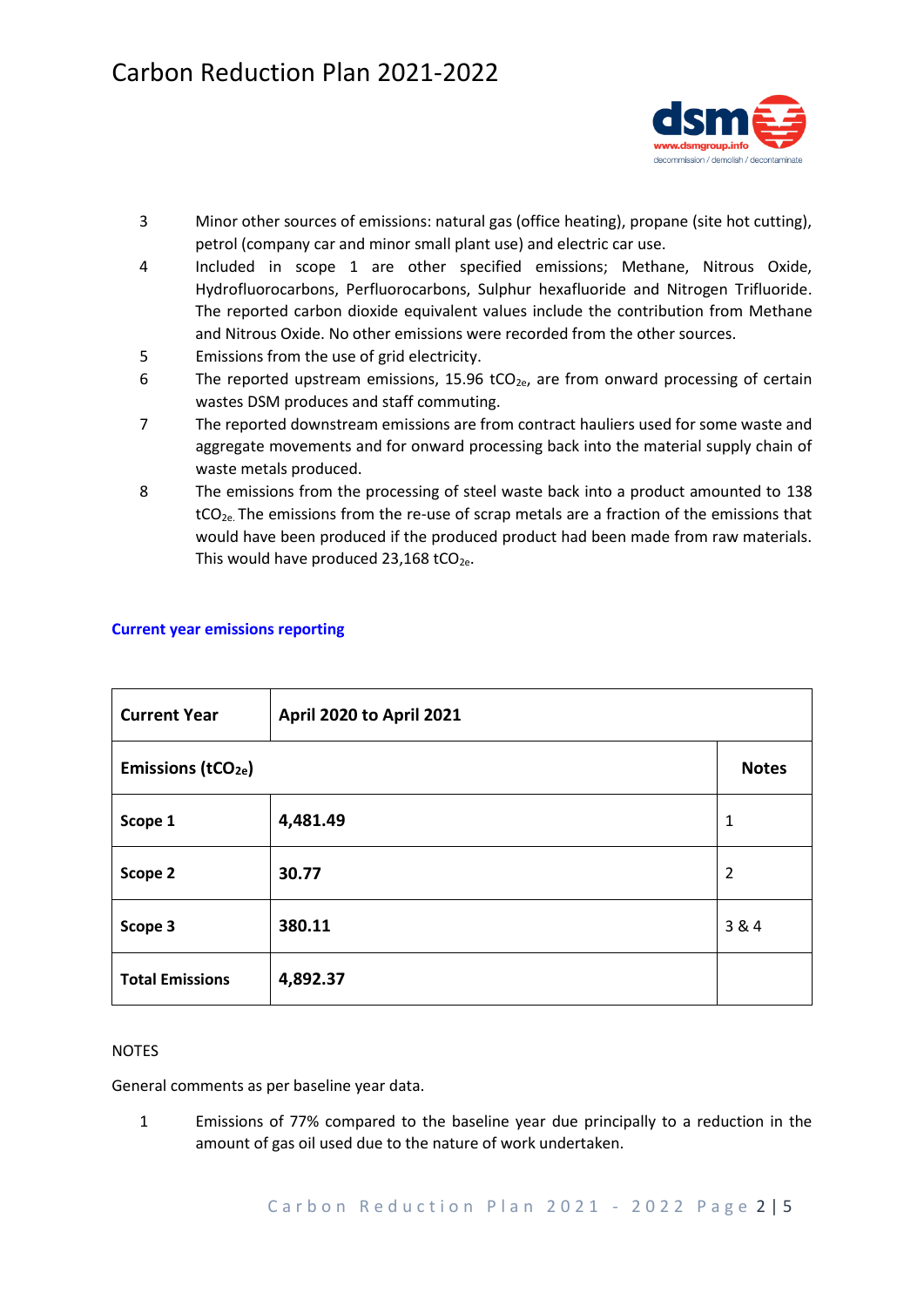

- 3 Minor other sources of emissions: natural gas (office heating), propane (site hot cutting), petrol (company car and minor small plant use) and electric car use.
- 4 Included in scope 1 are other specified emissions; Methane, Nitrous Oxide, Hydrofluorocarbons, Perfluorocarbons, Sulphur hexafluoride and Nitrogen Trifluoride. The reported carbon dioxide equivalent values include the contribution from Methane and Nitrous Oxide. No other emissions were recorded from the other sources.
- 5 Emissions from the use of grid electricity.
- 6 The reported upstream emissions, 15.96 tCO<sub>2e</sub>, are from onward processing of certain wastes DSM produces and staff commuting.
- 7 The reported downstream emissions are from contract hauliers used for some waste and aggregate movements and for onward processing back into the material supply chain of waste metals produced.
- 8 The emissions from the processing of steel waste back into a product amounted to 138  $tCO<sub>2e</sub>$ . The emissions from the re-use of scrap metals are a fraction of the emissions that would have been produced if the produced product had been made from raw materials. This would have produced 23,168 tCO<sub>2e</sub>.

| <b>Current Year</b>            | April 2020 to April 2021 |                |
|--------------------------------|--------------------------|----------------|
| Emissions (tCO <sub>2e</sub> ) |                          | <b>Notes</b>   |
| Scope 1                        | 4,481.49                 | 1              |
| Scope 2                        | 30.77                    | $\overline{2}$ |
| Scope 3                        | 380.11                   | 3 & 4          |
| <b>Total Emissions</b>         | 4,892.37                 |                |

# **Current year emissions reporting**

#### **NOTES**

General comments as per baseline year data.

1 Emissions of 77% compared to the baseline year due principally to a reduction in the amount of gas oil used due to the nature of work undertaken.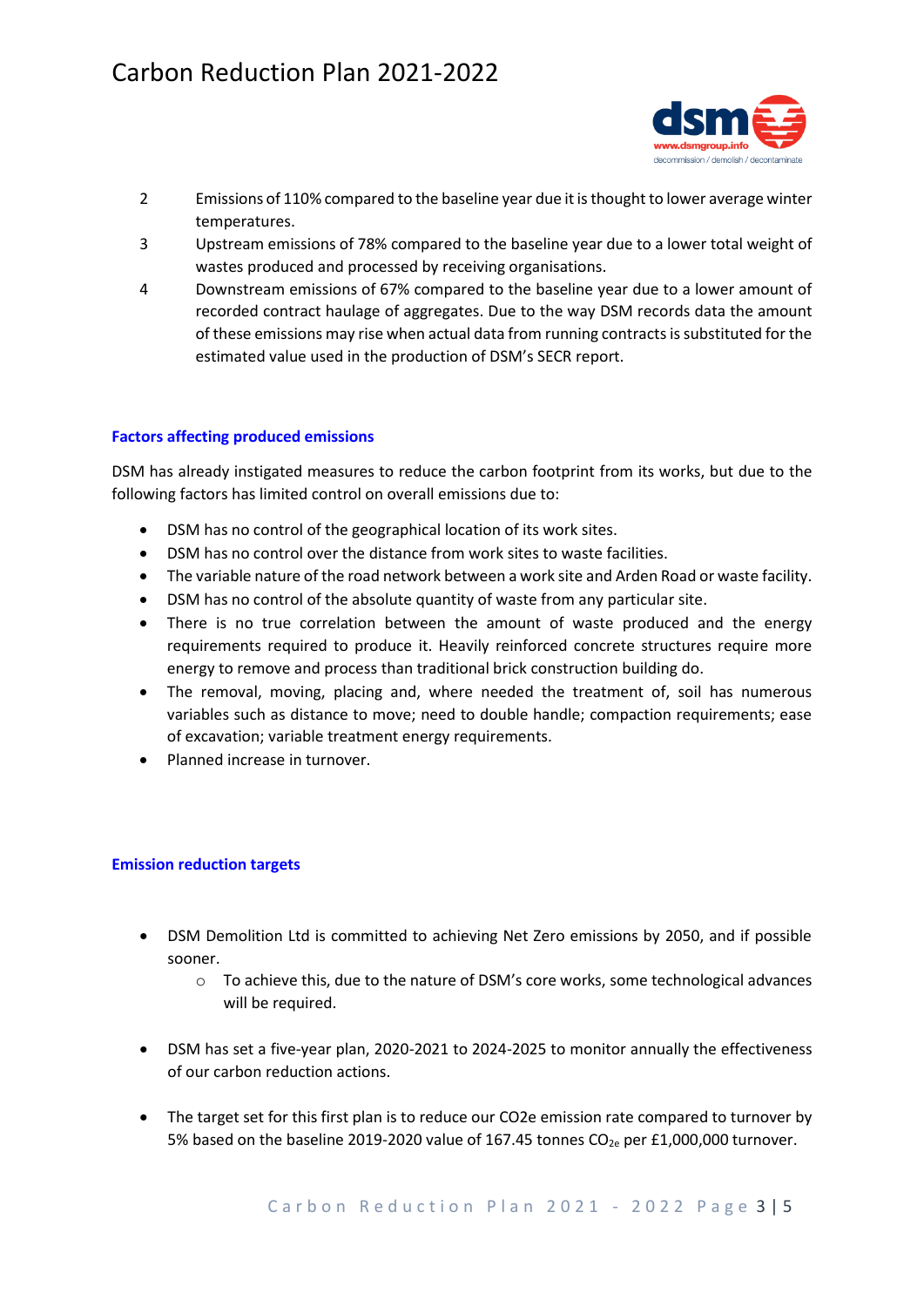

- 2 Emissions of 110% compared to the baseline year due it is thought to lower average winter temperatures.
- 3 Upstream emissions of 78% compared to the baseline year due to a lower total weight of wastes produced and processed by receiving organisations.
- 4 Downstream emissions of 67% compared to the baseline year due to a lower amount of recorded contract haulage of aggregates. Due to the way DSM records data the amount of these emissions may rise when actual data from running contracts is substituted for the estimated value used in the production of DSM's SECR report.

# **Factors affecting produced emissions**

DSM has already instigated measures to reduce the carbon footprint from its works, but due to the following factors has limited control on overall emissions due to:

- DSM has no control of the geographical location of its work sites.
- DSM has no control over the distance from work sites to waste facilities.
- The variable nature of the road network between a work site and Arden Road or waste facility.
- DSM has no control of the absolute quantity of waste from any particular site.
- There is no true correlation between the amount of waste produced and the energy requirements required to produce it. Heavily reinforced concrete structures require more energy to remove and process than traditional brick construction building do.
- The removal, moving, placing and, where needed the treatment of, soil has numerous variables such as distance to move; need to double handle; compaction requirements; ease of excavation; variable treatment energy requirements.
- Planned increase in turnover.

### **Emission reduction targets**

- DSM Demolition Ltd is committed to achieving Net Zero emissions by 2050, and if possible sooner.
	- $\circ$  To achieve this, due to the nature of DSM's core works, some technological advances will be required.
- DSM has set a five-year plan, 2020-2021 to 2024-2025 to monitor annually the effectiveness of our carbon reduction actions.
- The target set for this first plan is to reduce our CO2e emission rate compared to turnover by 5% based on the baseline 2019-2020 value of 167.45 tonnes  $CO<sub>2e</sub>$  per £1,000,000 turnover.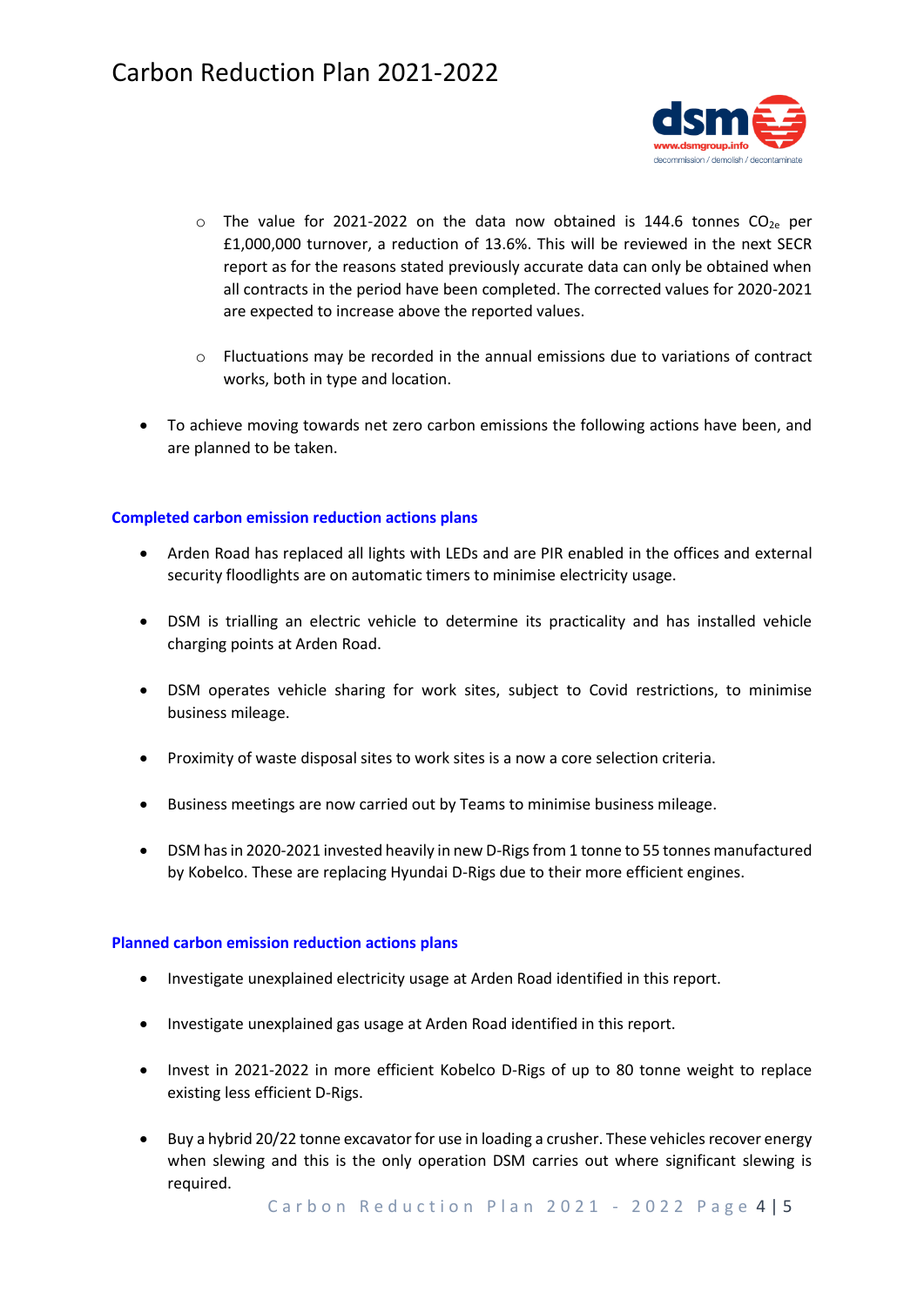

- $\circ$  The value for 2021-2022 on the data now obtained is 144.6 tonnes CO<sub>2e</sub> per £1,000,000 turnover, a reduction of 13.6%. This will be reviewed in the next SECR report as for the reasons stated previously accurate data can only be obtained when all contracts in the period have been completed. The corrected values for 2020-2021 are expected to increase above the reported values.
- $\circ$  Fluctuations may be recorded in the annual emissions due to variations of contract works, both in type and location.
- To achieve moving towards net zero carbon emissions the following actions have been, and are planned to be taken.

# **Completed carbon emission reduction actions plans**

- Arden Road has replaced all lights with LEDs and are PIR enabled in the offices and external security floodlights are on automatic timers to minimise electricity usage.
- DSM is trialling an electric vehicle to determine its practicality and has installed vehicle charging points at Arden Road.
- DSM operates vehicle sharing for work sites, subject to Covid restrictions, to minimise business mileage.
- Proximity of waste disposal sites to work sites is a now a core selection criteria.
- Business meetings are now carried out by Teams to minimise business mileage.
- DSM has in 2020-2021 invested heavily in new D-Rigs from 1 tonne to 55 tonnes manufactured by Kobelco. These are replacing Hyundai D-Rigs due to their more efficient engines.

### **Planned carbon emission reduction actions plans**

- Investigate unexplained electricity usage at Arden Road identified in this report.
- Investigate unexplained gas usage at Arden Road identified in this report.
- Invest in 2021-2022 in more efficient Kobelco D-Rigs of up to 80 tonne weight to replace existing less efficient D-Rigs.
- Buy a hybrid 20/22 tonne excavator for use in loading a crusher. These vehicles recover energy when slewing and this is the only operation DSM carries out where significant slewing is required.